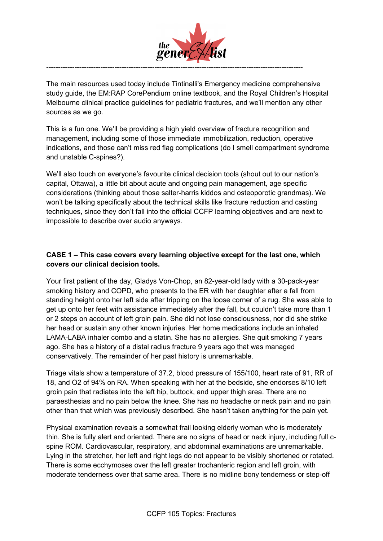

The main resources used today include Tintinalli's Emergency medicine comprehensive study guide, the EM:RAP CorePendium online textbook, and the Royal Children's Hospital Melbourne clinical practice guidelines for pediatric fractures, and we'll mention any other sources as we go.

This is a fun one. We'll be providing a high yield overview of fracture recognition and management, including some of those immediate immobilization, reduction, operative indications, and those can't miss red flag complications (do I smell compartment syndrome and unstable C-spines?).

We'll also touch on everyone's favourite clinical decision tools (shout out to our nation's capital, Ottawa), a little bit about acute and ongoing pain management, age specific considerations (thinking about those salter-harris kiddos and osteoporotic grandmas). We won't be talking specifically about the technical skills like fracture reduction and casting techniques, since they don't fall into the official CCFP learning objectives and are next to impossible to describe over audio anyways.

# **CASE 1 – This case covers every learning objective except for the last one, which covers our clinical decision tools.**

Your first patient of the day, Gladys Von-Chop, an 82-year-old lady with a 30-pack-year smoking history and COPD, who presents to the ER with her daughter after a fall from standing height onto her left side after tripping on the loose corner of a rug. She was able to get up onto her feet with assistance immediately after the fall, but couldn't take more than 1 or 2 steps on account of left groin pain. She did not lose consciousness, nor did she strike her head or sustain any other known injuries. Her home medications include an inhaled LAMA-LABA inhaler combo and a statin. She has no allergies. She quit smoking 7 years ago. She has a history of a distal radius fracture 9 years ago that was managed conservatively. The remainder of her past history is unremarkable.

Triage vitals show a temperature of 37.2, blood pressure of 155/100, heart rate of 91, RR of 18, and O2 of 94% on RA. When speaking with her at the bedside, she endorses 8/10 left groin pain that radiates into the left hip, buttock, and upper thigh area. There are no paraesthesias and no pain below the knee. She has no headache or neck pain and no pain other than that which was previously described. She hasn't taken anything for the pain yet.

Physical examination reveals a somewhat frail looking elderly woman who is moderately thin. She is fully alert and oriented. There are no signs of head or neck injury, including full cspine ROM. Cardiovascular, respiratory, and abdominal examinations are unremarkable. Lying in the stretcher, her left and right legs do not appear to be visibly shortened or rotated. There is some ecchymoses over the left greater trochanteric region and left groin, with moderate tenderness over that same area. There is no midline bony tenderness or step-off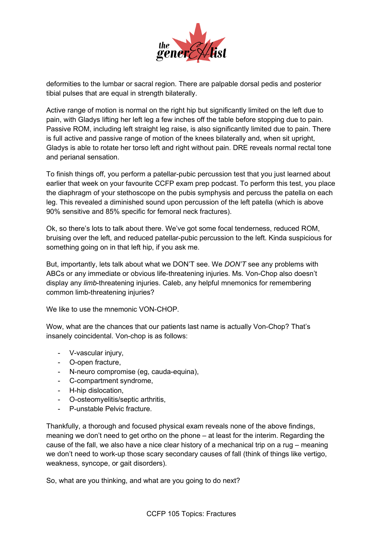

deformities to the lumbar or sacral region. There are palpable dorsal pedis and posterior tibial pulses that are equal in strength bilaterally.

Active range of motion is normal on the right hip but significantly limited on the left due to pain, with Gladys lifting her left leg a few inches off the table before stopping due to pain. Passive ROM, including left straight leg raise, is also significantly limited due to pain. There is full active and passive range of motion of the knees bilaterally and, when sit upright, Gladys is able to rotate her torso left and right without pain. DRE reveals normal rectal tone and perianal sensation.

To finish things off, you perform a patellar-pubic percussion test that you just learned about earlier that week on your favourite CCFP exam prep podcast. To perform this test, you place the diaphragm of your stethoscope on the pubis symphysis and percuss the patella on each leg. This revealed a diminished sound upon percussion of the left patella (which is above 90% sensitive and 85% specific for femoral neck fractures).

Ok, so there's lots to talk about there. We've got some focal tenderness, reduced ROM, bruising over the left, and reduced patellar-pubic percussion to the left. Kinda suspicious for something going on in that left hip, if you ask me.

But, importantly, lets talk about what we DON'T see. We *DON'T* see any problems with ABCs or any immediate or obvious life-threatening injuries. Ms. Von-Chop also doesn't display any *limb*-threatening injuries. Caleb, any helpful mnemonics for remembering common limb-threatening injuries?

We like to use the mnemonic VON-CHOP.

Wow, what are the chances that our patients last name is actually Von-Chop? That's insanely coincidental. Von-chop is as follows:

- V-vascular injury,
- O-open fracture,
- N-neuro compromise (eg, cauda-equina),
- C-compartment syndrome,
- H-hip dislocation,
- O-osteomyelitis/septic arthritis,
- P-unstable Pelvic fracture.

Thankfully, a thorough and focused physical exam reveals none of the above findings, meaning we don't need to get ortho on the phone – at least for the interim. Regarding the cause of the fall, we also have a nice clear history of a mechanical trip on a rug – meaning we don't need to work-up those scary secondary causes of fall (think of things like vertigo, weakness, syncope, or gait disorders).

So, what are you thinking, and what are you going to do next?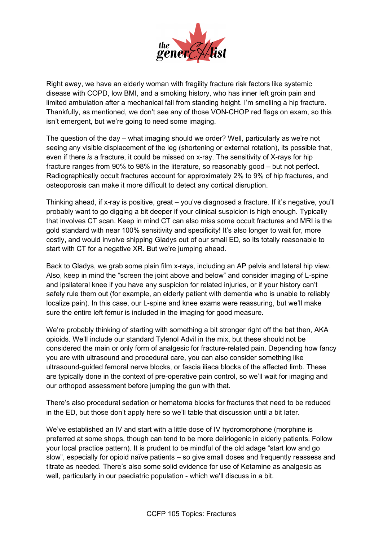

Right away, we have an elderly woman with fragility fracture risk factors like systemic disease with COPD, low BMI, and a smoking history, who has inner left groin pain and limited ambulation after a mechanical fall from standing height. I'm smelling a hip fracture. Thankfully, as mentioned, we don't see any of those VON-CHOP red flags on exam, so this isn't emergent, but we're going to need some imaging.

The question of the day – what imaging should we order? Well, particularly as we're not seeing any visible displacement of the leg (shortening or external rotation), its possible that, even if there *is* a fracture, it could be missed on x-ray. The sensitivity of X-rays for hip fracture ranges from 90% to 98% in the literature, so reasonably good – but not perfect. Radiographically occult fractures account for approximately 2% to 9% of hip fractures, and osteoporosis can make it more difficult to detect any cortical disruption.

Thinking ahead, if x-ray is positive, great – you've diagnosed a fracture. If it's negative, you'll probably want to go digging a bit deeper if your clinical suspicion is high enough. Typically that involves CT scan. Keep in mind CT can also miss some occult fractures and MRI is the gold standard with near 100% sensitivity and specificity! It's also longer to wait for, more costly, and would involve shipping Gladys out of our small ED, so its totally reasonable to start with CT for a negative XR. But we're jumping ahead.

Back to Gladys, we grab some plain film x-rays, including an AP pelvis and lateral hip view. Also, keep in mind the "screen the joint above and below" and consider imaging of L-spine and ipsilateral knee if you have any suspicion for related injuries, or if your history can't safely rule them out (for example, an elderly patient with dementia who is unable to reliably localize pain). In this case, our L-spine and knee exams were reassuring, but we'll make sure the entire left femur is included in the imaging for good measure.

We're probably thinking of starting with something a bit stronger right off the bat then, AKA opioids. We'll include our standard Tylenol Advil in the mix, but these should not be considered the main or only form of analgesic for fracture-related pain. Depending how fancy you are with ultrasound and procedural care, you can also consider something like ultrasound-guided femoral nerve blocks, or fascia iliaca blocks of the affected limb. These are typically done in the context of pre-operative pain control, so we'll wait for imaging and our orthopod assessment before jumping the gun with that.

There's also procedural sedation or hematoma blocks for fractures that need to be reduced in the ED, but those don't apply here so we'll table that discussion until a bit later.

We've established an IV and start with a little dose of IV hydromorphone (morphine is preferred at some shops, though can tend to be more deliriogenic in elderly patients. Follow your local practice pattern). It is prudent to be mindful of the old adage "start low and go slow", especially for opioid naïve patients – so give small doses and frequently reassess and titrate as needed. There's also some solid evidence for use of Ketamine as analgesic as well, particularly in our paediatric population - which we'll discuss in a bit.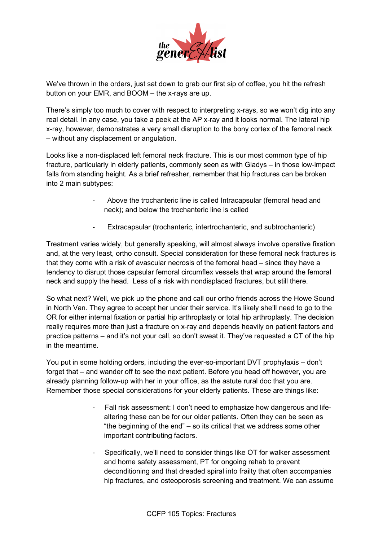

We've thrown in the orders, just sat down to grab our first sip of coffee, you hit the refresh button on your EMR, and BOOM – the x-rays are up.

There's simply too much to cover with respect to interpreting x-rays, so we won't dig into any real detail. In any case, you take a peek at the AP x-ray and it looks normal. The lateral hip x-ray, however, demonstrates a very small disruption to the bony cortex of the femoral neck – without any displacement or angulation.

Looks like a non-displaced left femoral neck fracture. This is our most common type of hip fracture, particularly in elderly patients, commonly seen as with Gladys – in those low-impact falls from standing height. As a brief refresher, remember that hip fractures can be broken into 2 main subtypes:

- Above the trochanteric line is called Intracapsular (femoral head and neck); and below the trochanteric line is called
- Extracapsular (trochanteric, intertrochanteric, and subtrochanteric)

Treatment varies widely, but generally speaking, will almost always involve operative fixation and, at the very least, ortho consult. Special consideration for these femoral neck fractures is that they come with a risk of avascular necrosis of the femoral head – since they have a tendency to disrupt those capsular femoral circumflex vessels that wrap around the femoral neck and supply the head. Less of a risk with nondisplaced fractures, but still there.

So what next? Well, we pick up the phone and call our ortho friends across the Howe Sound in North Van. They agree to accept her under their service. It's likely she'll need to go to the OR for either internal fixation or partial hip arthroplasty or total hip arthroplasty. The decision really requires more than just a fracture on x-ray and depends heavily on patient factors and practice patterns – and it's not your call, so don't sweat it. They've requested a CT of the hip in the meantime.

You put in some holding orders, including the ever-so-important DVT prophylaxis – don't forget that – and wander off to see the next patient. Before you head off however, you are already planning follow-up with her in your office, as the astute rural doc that you are. Remember those special considerations for your elderly patients. These are things like:

- Fall risk assessment: I don't need to emphasize how dangerous and lifealtering these can be for our older patients. Often they can be seen as "the beginning of the end" – so its critical that we address some other important contributing factors.
- Specifically, we'll need to consider things like OT for walker assessment and home safety assessment, PT for ongoing rehab to prevent deconditioning and that dreaded spiral into frailty that often accompanies hip fractures, and osteoporosis screening and treatment. We can assume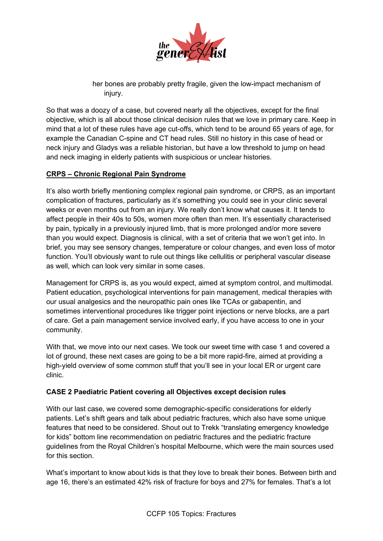

her bones are probably pretty fragile, given the low-impact mechanism of injury.

So that was a doozy of a case, but covered nearly all the objectives, except for the final objective, which is all about those clinical decision rules that we love in primary care. Keep in mind that a lot of these rules have age cut-offs, which tend to be around 65 years of age, for example the Canadian C-spine and CT head rules. Still no history in this case of head or neck injury and Gladys was a reliable historian, but have a low threshold to jump on head and neck imaging in elderly patients with suspicious or unclear histories.

## **CRPS – Chronic Regional Pain Syndrome**

It's also worth briefly mentioning complex regional pain syndrome, or CRPS, as an important complication of fractures, particularly as it's something you could see in your clinic several weeks or even months out from an injury. We really don't know what causes it. It tends to affect people in their 40s to 50s, women more often than men. It's essentially characterised by pain, typically in a previously injured limb, that is more prolonged and/or more severe than you would expect. Diagnosis is clinical, with a set of criteria that we won't get into. In brief, you may see sensory changes, temperature or colour changes, and even loss of motor function. You'll obviously want to rule out things like cellulitis or peripheral vascular disease as well, which can look very similar in some cases.

Management for CRPS is, as you would expect, aimed at symptom control, and multimodal. Patient education, psychological interventions for pain management, medical therapies with our usual analgesics and the neuropathic pain ones like TCAs or gabapentin, and sometimes interventional procedures like trigger point injections or nerve blocks, are a part of care. Get a pain management service involved early, if you have access to one in your community.

With that, we move into our next cases. We took our sweet time with case 1 and covered a lot of ground, these next cases are going to be a bit more rapid-fire, aimed at providing a high-yield overview of some common stuff that you'll see in your local ER or urgent care clinic.

## **CASE 2 Paediatric Patient covering all Objectives except decision rules**

With our last case, we covered some demographic-specific considerations for elderly patients. Let's shift gears and talk about pediatric fractures, which also have some unique features that need to be considered. Shout out to Trekk "translating emergency knowledge for kids" bottom line recommendation on pediatric fractures and the pediatric fracture guidelines from the Royal Children's hospital Melbourne, which were the main sources used for this section.

What's important to know about kids is that they love to break their bones. Between birth and age 16, there's an estimated 42% risk of fracture for boys and 27% for females. That's a lot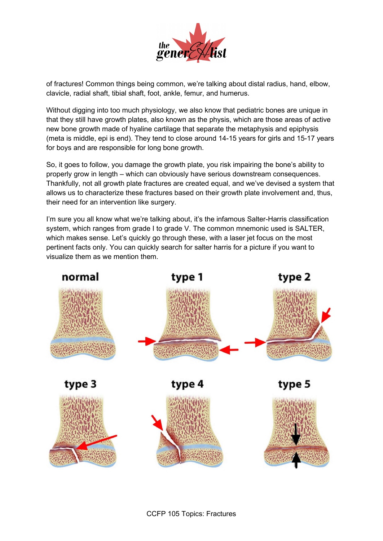

of fractures! Common things being common, we're talking about distal radius, hand, elbow, clavicle, radial shaft, tibial shaft, foot, ankle, femur, and humerus.

Without digging into too much physiology, we also know that pediatric bones are unique in that they still have growth plates, also known as the physis, which are those areas of active new bone growth made of hyaline cartilage that separate the metaphysis and epiphysis (meta is middle, epi is end). They tend to close around 14-15 years for girls and 15-17 years for boys and are responsible for long bone growth.

So, it goes to follow, you damage the growth plate, you risk impairing the bone's ability to properly grow in length – which can obviously have serious downstream consequences. Thankfully, not all growth plate fractures are created equal, and we've devised a system that allows us to characterize these fractures based on their growth plate involvement and, thus, their need for an intervention like surgery.

I'm sure you all know what we're talking about, it's the infamous Salter-Harris classification system, which ranges from grade I to grade V. The common mnemonic used is SALTER, which makes sense. Let's quickly go through these, with a laser jet focus on the most pertinent facts only. You can quickly search for salter harris for a picture if you want to visualize them as we mention them.

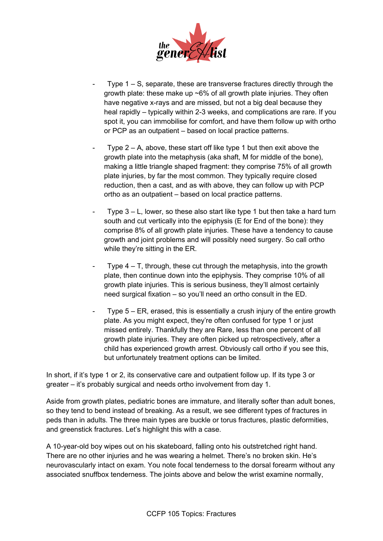

- Type  $1 S$ , separate, these are transverse fractures directly through the growth plate: these make up ~6% of all growth plate injuries. They often have negative x-rays and are missed, but not a big deal because they heal rapidly – typically within 2-3 weeks, and complications are rare. If you spot it, you can immobilise for comfort, and have them follow up with ortho or PCP as an outpatient – based on local practice patterns.
- Type  $2 A$ , above, these start off like type 1 but then exit above the growth plate into the metaphysis (aka shaft, M for middle of the bone), making a little triangle shaped fragment: they comprise 75% of all growth plate injuries, by far the most common. They typically require closed reduction, then a cast, and as with above, they can follow up with PCP ortho as an outpatient – based on local practice patterns.
- Type  $3 L$ , lower, so these also start like type 1 but then take a hard turn south and cut vertically into the epiphysis (E for End of the bone): they comprise 8% of all growth plate injuries. These have a tendency to cause growth and joint problems and will possibly need surgery. So call ortho while they're sitting in the ER.
- Type  $4 T$ , through, these cut through the metaphysis, into the growth plate, then continue down into the epiphysis. They comprise 10% of all growth plate injuries. This is serious business, they'll almost certainly need surgical fixation – so you'll need an ortho consult in the ED.
- Type 5 ER, erased, this is essentially a crush injury of the entire growth plate. As you might expect, they're often confused for type 1 or just missed entirely. Thankfully they are Rare, less than one percent of all growth plate injuries. They are often picked up retrospectively, after a child has experienced growth arrest. Obviously call ortho if you see this, but unfortunately treatment options can be limited.

In short, if it's type 1 or 2, its conservative care and outpatient follow up. If its type 3 or greater – it's probably surgical and needs ortho involvement from day 1.

Aside from growth plates, pediatric bones are immature, and literally softer than adult bones, so they tend to bend instead of breaking. As a result, we see different types of fractures in peds than in adults. The three main types are buckle or torus fractures, plastic deformities, and greenstick fractures. Let's highlight this with a case.

A 10-year-old boy wipes out on his skateboard, falling onto his outstretched right hand. There are no other injuries and he was wearing a helmet. There's no broken skin. He's neurovascularly intact on exam. You note focal tenderness to the dorsal forearm without any associated snuffbox tenderness. The joints above and below the wrist examine normally,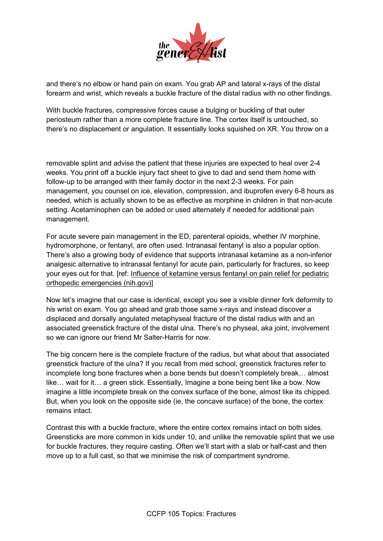

and there's no elbow or hand pain on exam. You grab AP and lateral x-rays of the distal forearm and wrist, which reveals a buckle fracture of the distal radius with no other findings.

With buckle fractures, compressive forces cause a bulging or buckling of that outer periosteum rather than a more complete fracture line. The cortex itself is untouched, so there's no displacement or angulation. It essentially looks squished on XR. You throw on a

removable splint and advise the patient that these injuries are expected to heal over 2-4 weeks. You print off a buckle injury fact sheet to give to dad and send them home with follow-up to be arranged with their family doctor in the next 2-3 weeks. For pain management, you counsel on ice, elevation, compression, and ibuprofen every 6-8 hours as needed, which is actually shown to be as effective as morphine in children in that non-acute setting. Acetaminophen can be added or used alternately if needed for additional pain management.

For acute severe pain management in the ED, parenteral opioids, whether IV morphine, hydromorphone, or fentanyl, are often used. Intranasal fentanyl is also a popular option. There's also a growing body of evidence that supports intranasal ketamine as a non-inferior analgesic alternative to intranasal fentanyl for acute pain, particularly for fractures, so keep your eyes out for that. [ref: [Influence of ketamine versus fentanyl on pain relief for pediatric](https://www.ncbi.nlm.nih.gov/pmc/articles/PMC8542162/)  [orthopedic emergencies \(nih.gov\)\]](https://www.ncbi.nlm.nih.gov/pmc/articles/PMC8542162/)

Now let's imagine that our case is identical, except you see a visible dinner fork deformity to his wrist on exam. You go ahead and grab those same x-rays and instead discover a displaced and dorsally angulated metaphyseal fracture of the distal radius with and an associated greenstick fracture of the distal ulna. There's no physeal, aka joint, involvement so we can ignore our friend Mr Salter-Harris for now.

The big concern here is the complete fracture of the radius, but what about that associated greenstick fracture of the ulna? If you recall from med school, greenstick fractures refer to incomplete long bone fractures when a bone bends but doesn't completely break… almost like… wait for it… a green stick. Essentially, Imagine a bone being bent like a bow. Now imagine a little incomplete break on the convex surface of the bone, almost like its chipped. But, when you look on the opposite side (ie, the concave surface) of the bone, the cortex remains intact.

Contrast this with a buckle fracture, where the entire cortex remains intact on both sides. Greensticks are more common in kids under 10, and unlike the removable splint that we use for buckle fractures, they require casting. Often we'll start with a slab or half-cast and then move up to a full cast, so that we minimise the risk of compartment syndrome.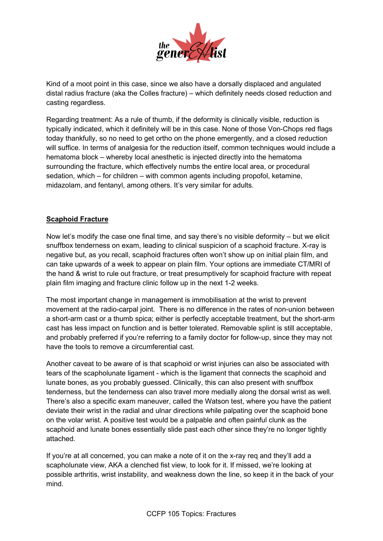

Kind of a moot point in this case, since we also have a dorsally displaced and angulated distal radius fracture (aka the Colles fracture) – which definitely needs closed reduction and casting regardless.

Regarding treatment: As a rule of thumb, if the deformity is clinically visible, reduction is typically indicated, which it definitely will be in this case. None of those Von-Chops red flags today thankfully, so no need to get ortho on the phone emergently, and a closed reduction will suffice. In terms of analgesia for the reduction itself, common techniques would include a hematoma block – whereby local anesthetic is injected directly into the hematoma surrounding the fracture, which effectively numbs the entire local area, or procedural sedation, which – for children – with common agents including propofol, ketamine, midazolam, and fentanyl, among others. It's very similar for adults.

## **Scaphoid Fracture**

Now let's modify the case one final time, and say there's no visible deformity – but we elicit snuffbox tenderness on exam, leading to clinical suspicion of a scaphoid fracture. X-ray is negative but, as you recall, scaphoid fractures often won't show up on initial plain film, and can take upwards of a week to appear on plain film. Your options are immediate CT/MRI of the hand & wrist to rule out fracture, or treat presumptively for scaphoid fracture with repeat plain film imaging and fracture clinic follow up in the next 1-2 weeks.

The most important change in management is immobilisation at the wrist to prevent movement at the radio-carpal joint. There is no difference in the rates of non-union between a short-arm cast or a thumb spica; either is perfectly acceptable treatment, but the short-arm cast has less impact on function and is better tolerated. Removable splint is still acceptable, and probably preferred if you're referring to a family doctor for follow-up, since they may not have the tools to remove a circumferential cast.

Another caveat to be aware of is that scaphoid or wrist injuries can also be associated with tears of the scapholunate ligament - which is the ligament that connects the scaphoid and lunate bones, as you probably guessed. Clinically, this can also present with snuffbox tenderness, but the tenderness can also travel more medially along the dorsal wrist as well. There's also a specific exam maneuver, called the Watson test, where you have the patient deviate their wrist in the radial and ulnar directions while palpating over the scaphoid bone on the volar wrist. A positive test would be a palpable and often painful clunk as the scaphoid and lunate bones essentially slide past each other since they're no longer tightly attached.

If you're at all concerned, you can make a note of it on the x-ray req and they'll add a scapholunate view, AKA a clenched fist view, to look for it. If missed, we're looking at possible arthritis, wrist instability, and weakness down the line, so keep it in the back of your mind.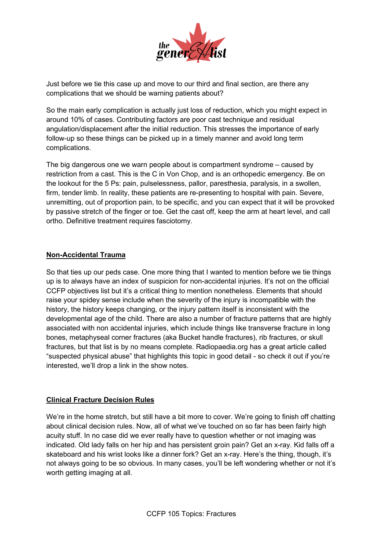

Just before we tie this case up and move to our third and final section, are there any complications that we should be warning patients about?

So the main early complication is actually just loss of reduction, which you might expect in around 10% of cases. Contributing factors are poor cast technique and residual angulation/displacement after the initial reduction. This stresses the importance of early follow-up so these things can be picked up in a timely manner and avoid long term complications.

The big dangerous one we warn people about is compartment syndrome – caused by restriction from a cast. This is the C in Von Chop, and is an orthopedic emergency. Be on the lookout for the 5 Ps: pain, pulselessness, pallor, paresthesia, paralysis, in a swollen, firm, tender limb. In reality, these patients are re-presenting to hospital with pain. Severe, unremitting, out of proportion pain, to be specific, and you can expect that it will be provoked by passive stretch of the finger or toe. Get the cast off, keep the arm at heart level, and call ortho. Definitive treatment requires fasciotomy.

### **Non-Accidental Trauma**

So that ties up our peds case. One more thing that I wanted to mention before we tie things up is to always have an index of suspicion for non-accidental injuries. It's not on the official CCFP objectives list but it's a critical thing to mention nonetheless. Elements that should raise your spidey sense include when the severity of the injury is incompatible with the history, the history keeps changing, or the injury pattern itself is inconsistent with the developmental age of the child. There are also a number of fracture patterns that are highly associated with non accidental injuries, which include things like transverse fracture in long bones, metaphyseal corner fractures (aka Bucket handle fractures), rib fractures, or skull fractures, but that list is by no means complete. Radiopaedia.org has a great article called "suspected physical abuse" that highlights this topic in good detail - so check it out if you're interested, we'll drop a link in the show notes.

## **Clinical Fracture Decision Rules**

We're in the home stretch, but still have a bit more to cover. We're going to finish off chatting about clinical decision rules. Now, all of what we've touched on so far has been fairly high acuity stuff. In no case did we ever really have to question whether or not imaging was indicated. Old lady falls on her hip and has persistent groin pain? Get an x-ray. Kid falls off a skateboard and his wrist looks like a dinner fork? Get an x-ray. Here's the thing, though, it's not always going to be so obvious. In many cases, you'll be left wondering whether or not it's worth getting imaging at all.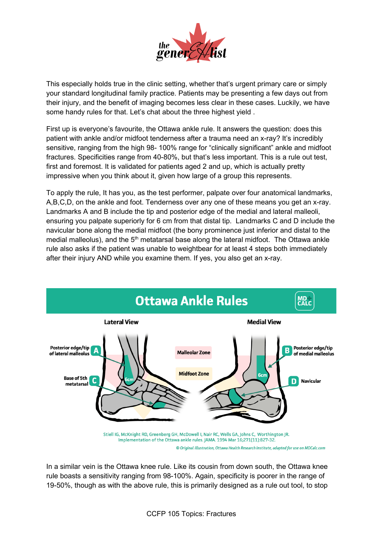

This especially holds true in the clinic setting, whether that's urgent primary care or simply your standard longitudinal family practice. Patients may be presenting a few days out from their injury, and the benefit of imaging becomes less clear in these cases. Luckily, we have some handy rules for that. Let's chat about the three highest yield.

First up is everyone's favourite, the Ottawa ankle rule. It answers the question: does this patient with ankle and/or midfoot tenderness after a trauma need an x-ray? It's incredibly sensitive, ranging from the high 98- 100% range for "clinically significant" ankle and midfoot fractures. Specificities range from 40-80%, but that's less important. This is a rule out test, first and foremost. It is validated for patients aged 2 and up, which is actually pretty impressive when you think about it, given how large of a group this represents.

To apply the rule, It has you, as the test performer, palpate over four anatomical landmarks, A,B,C,D, on the ankle and foot. Tenderness over any one of these means you get an x-ray. Landmarks A and B include the tip and posterior edge of the medial and lateral malleoli, ensuring you palpate superiorly for 6 cm from that distal tip. Landmarks C and D include the navicular bone along the medial midfoot (the bony prominence just inferior and distal to the medial malleolus), and the 5<sup>th</sup> metatarsal base along the lateral midfoot. The Ottawa ankle rule also asks if the patient was unable to weightbear for at least 4 steps both immediately after their injury AND while you examine them. If yes, you also get an x-ray.



© Original Illustration, Ottawa Health Research Institute, adapted for use on MDCalc.com

In a similar vein is the Ottawa knee rule. Like its cousin from down south, the Ottawa knee rule boasts a sensitivity ranging from 98-100%. Again, specificity is poorer in the range of 19-50%, though as with the above rule, this is primarily designed as a rule out tool, to stop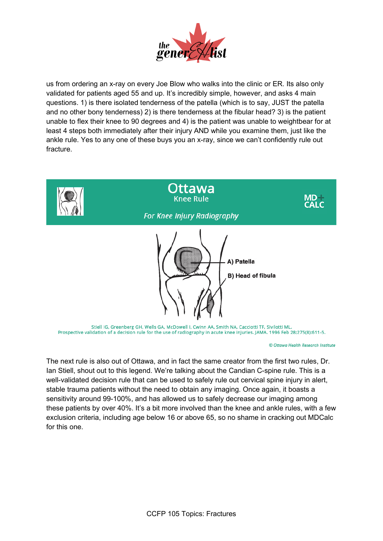

us from ordering an x-ray on every Joe Blow who walks into the clinic or ER. Its also only validated for patients aged 55 and up. It's incredibly simple, however, and asks 4 main questions. 1) is there isolated tenderness of the patella (which is to say, JUST the patella and no other bony tenderness) 2) is there tenderness at the fibular head? 3) is the patient unable to flex their knee to 90 degrees and 4) is the patient was unable to weightbear for at least 4 steps both immediately after their injury AND while you examine them, just like the ankle rule. Yes to any one of these buys you an x-ray, since we can't confidently rule out fracture.



Prospective validation of a decision rule for the use of radiography in acute knee injuries. JAMA. 1996 Feb 28;275(8):611-5.

© Ottawa Health Research Institute

The next rule is also out of Ottawa, and in fact the same creator from the first two rules, Dr. Ian Stiell, shout out to this legend. We're talking about the Candian C-spine rule. This is a well-validated decision rule that can be used to safely rule out cervical spine injury in alert, stable trauma patients without the need to obtain any imaging. Once again, it boasts a sensitivity around 99-100%, and has allowed us to safely decrease our imaging among these patients by over 40%. It's a bit more involved than the knee and ankle rules, with a few exclusion criteria, including age below 16 or above 65, so no shame in cracking out MDCalc for this one.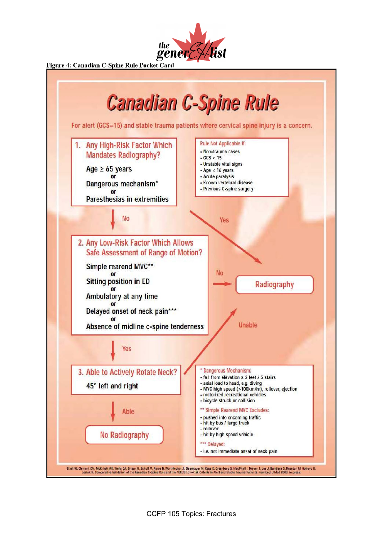